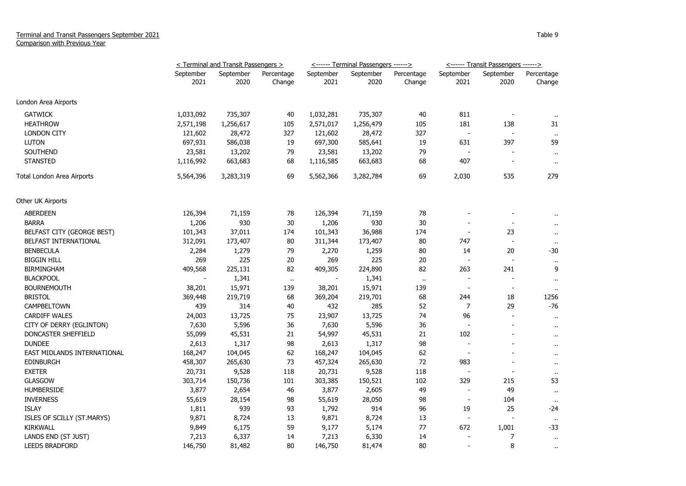|                             | $\le$ Terminal and Transit Passengers $>$ |                   |                      |                   | <u>&lt;------ Terminal Passengers ------&gt;</u> |            | <u>&lt;------ Transit Passengers ------&gt;</u> |                          |                      |
|-----------------------------|-------------------------------------------|-------------------|----------------------|-------------------|--------------------------------------------------|------------|-------------------------------------------------|--------------------------|----------------------|
|                             | September<br>2021                         | September<br>2020 | Percentage<br>Change | September<br>2021 | September<br>2020                                | Percentage | September<br>2021                               | September<br>2020        | Percentage           |
|                             |                                           |                   |                      |                   |                                                  | Change     |                                                 |                          | Change               |
| London Area Airports        |                                           |                   |                      |                   |                                                  |            |                                                 |                          |                      |
| <b>GATWICK</b>              | 1,033,092                                 | 735,307           | 40                   | 1,032,281         | 735,307                                          | 40         | 811                                             |                          |                      |
| <b>HEATHROW</b>             | 2,571,198                                 | 1,256,617         | 105                  | 2,571,017         | 1,256,479                                        | 105        | 181                                             | 138                      | 31                   |
| <b>LONDON CITY</b>          | 121,602                                   | 28,472            | 327                  | 121,602           | 28,472                                           | 327        | $\overline{\phantom{a}}$                        |                          | $\cdot$ .            |
| <b>LUTON</b>                | 697,931                                   | 586,038           | 19                   | 697,300           | 585,641                                          | 19         | 631                                             | 397                      | 59                   |
| SOUTHEND                    | 23,581                                    | 13,202            | 79                   | 23,581            | 13,202                                           | 79         | $\blacksquare$                                  |                          | $\sim$               |
| <b>STANSTED</b>             | 1,116,992                                 | 663,683           | 68                   | 1,116,585         | 663,683                                          | 68         | 407                                             | $\overline{\phantom{a}}$ | $\sim$               |
| Total London Area Airports  | 5,564,396                                 | 3,283,319         | 69                   | 5,562,366         | 3,282,784                                        | 69         | 2,030                                           | 535                      | 279                  |
| Other UK Airports           |                                           |                   |                      |                   |                                                  |            |                                                 |                          |                      |
| <b>ABERDEEN</b>             | 126,394                                   | 71,159            | 78                   | 126,394           | 71,159                                           | 78         |                                                 |                          |                      |
| <b>BARRA</b>                | 1,206                                     | 930               | 30                   | 1,206             | 930                                              | 30         |                                                 |                          | $\ddot{\phantom{1}}$ |
| BELFAST CITY (GEORGE BEST)  | 101,343                                   | 37,011            | 174                  | 101,343           | 36,988                                           | 174        | $\overline{\phantom{a}}$                        | 23                       | $\mathbf{u}$         |
| BELFAST INTERNATIONAL       | 312,091                                   | 173,407           | 80                   | 311,344           | 173,407                                          | 80         | 747                                             | $\overline{\phantom{a}}$ | $\bullet$            |
| <b>BENBECULA</b>            | 2,284                                     | 1,279             | 79                   | 2,270             | 1,259                                            | 80         | 14                                              | 20                       | $-30$                |
| <b>BIGGIN HILL</b>          | 269                                       | 225               | 20                   | 269               | 225                                              | 20         | $\blacksquare$                                  |                          | $\mathbf{H}$         |
| <b>BIRMINGHAM</b>           | 409,568                                   | 225,131           | 82                   | 409,305           | 224,890                                          | 82         | 263                                             | 241                      | 9                    |
| <b>BLACKPOOL</b>            |                                           | 1,341             | $\bullet$            |                   | 1,341                                            | $\cdot$ .  | $\blacksquare$                                  | $\blacksquare$           | $\mathbf{u}$         |
| <b>BOURNEMOUTH</b>          | 38,201                                    | 15,971            | 139                  | 38,201            | 15,971                                           | 139        | $\blacksquare$                                  | $\blacksquare$           | $\ddot{\phantom{1}}$ |
| <b>BRISTOL</b>              | 369,448                                   | 219,719           | 68                   | 369,204           | 219,701                                          | 68         | 244                                             | 18                       | 1256                 |
| CAMPBELTOWN                 | 439                                       | 314               | 40                   | 432               | 285                                              | 52         | $\overline{7}$                                  | 29                       | $-76$                |
| <b>CARDIFF WALES</b>        | 24,003                                    | 13,725            | 75                   | 23,907            | 13,725                                           | 74         | 96                                              | $\overline{\phantom{a}}$ | $\mathbf{r}$ .       |
| CITY OF DERRY (EGLINTON)    | 7,630                                     | 5,596             | 36                   | 7,630             | 5,596                                            | 36         | $\blacksquare$                                  | ÷                        | $\mathbf{u}$         |
| DONCASTER SHEFFIELD         | 55,099                                    | 45,531            | 21                   | 54,997            | 45,531                                           | 21         | 102                                             |                          | $\sim$               |
| <b>DUNDEE</b>               | 2,613                                     | 1,317             | 98                   | 2,613             | 1,317                                            | 98         | L,                                              |                          | $\sim$               |
| EAST MIDLANDS INTERNATIONAL | 168,247                                   | 104,045           | 62                   | 168,247           | 104,045                                          | 62         | $\overline{\phantom{a}}$                        |                          | $\ddot{\phantom{1}}$ |
| <b>EDINBURGH</b>            | 458,307                                   | 265,630           | 73                   | 457,324           | 265,630                                          | 72         | 983                                             |                          | $\cdot$ .            |
| <b>EXETER</b>               | 20,731                                    | 9,528             | 118                  | 20,731            | 9,528                                            | 118        |                                                 |                          | $\sim$               |
| <b>GLASGOW</b>              | 303,714                                   | 150,736           | 101                  | 303,385           | 150,521                                          | 102        | 329                                             | 215                      | 53                   |
| <b>HUMBERSIDE</b>           | 3,877                                     | 2,654             | 46                   | 3,877             | 2,605                                            | 49         | $\sim$                                          | 49                       | $\sim$               |
| <b>INVERNESS</b>            | 55,619                                    | 28,154            | 98                   | 55,619            | 28,050                                           | 98         | $\overline{\phantom{a}}$                        | 104                      | $\mathbf{H}$         |
| <b>ISLAY</b>                | 1,811                                     | 939               | 93                   | 1,792             | 914                                              | 96         | 19                                              | 25                       | -24                  |
| ISLES OF SCILLY (ST.MARYS)  | 9,871                                     | 8,724             | 13                   | 9,871             | 8,724                                            | 13         | $\overline{\phantom{a}}$                        |                          | $\cdot$ .            |
| <b>KIRKWALL</b>             | 9,849                                     | 6,175             | 59                   | 9,177             | 5,174                                            | 77         | 672                                             | 1,001                    | -33                  |
| LANDS END (ST JUST)         | 7,213                                     | 6,337             | 14                   | 7,213             | 6,330                                            | 14         | $\overline{a}$                                  | 7                        | $\mathbf{u}$         |
| <b>LEEDS BRADFORD</b>       | 146,750                                   | 81,482            | 80                   | 146,750           | 81,474                                           | 80         | $\sim$                                          | 8                        | $\sim$               |
|                             |                                           |                   |                      |                   |                                                  |            |                                                 |                          |                      |